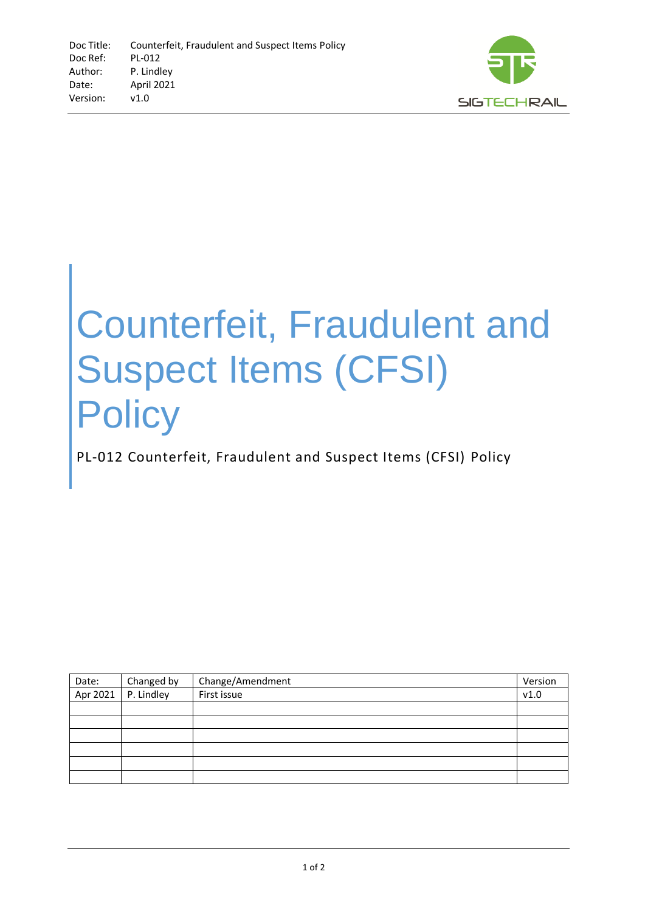

## Counterfeit, Fraudulent and Suspect Items (CFSI) **Policy**

PL-012 Counterfeit, Fraudulent and Suspect Items (CFSI) Policy

| Date: | Changed by            | Change/Amendment | Version |
|-------|-----------------------|------------------|---------|
|       | Apr 2021   P. Lindley | First issue      | v1.0    |
|       |                       |                  |         |
|       |                       |                  |         |
|       |                       |                  |         |
|       |                       |                  |         |
|       |                       |                  |         |
|       |                       |                  |         |